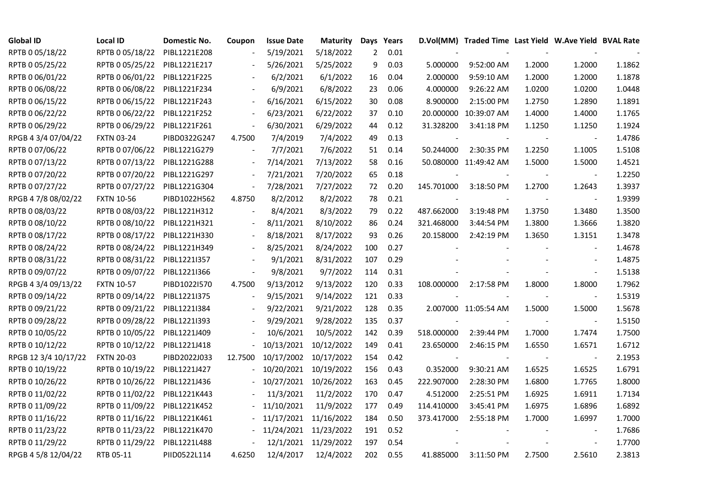| <b>Global ID</b>     | <b>Local ID</b>   | Domestic No. | Coupon  | <b>Issue Date</b> | Maturity   |              | Days Years |            | D.Vol(MM) Traded Time Last Yield W.Ave Yield BVAL Rate |        |                          |        |
|----------------------|-------------------|--------------|---------|-------------------|------------|--------------|------------|------------|--------------------------------------------------------|--------|--------------------------|--------|
| RPTB 0 05/18/22      | RPTB 0 05/18/22   | PIBL1221E208 |         | 5/19/2021         | 5/18/2022  | $\mathbf{2}$ | 0.01       |            |                                                        |        |                          |        |
| RPTB 0 05/25/22      | RPTB 0 05/25/22   | PIBL1221E217 |         | 5/26/2021         | 5/25/2022  | 9            | 0.03       | 5.000000   | 9:52:00 AM                                             | 1.2000 | 1.2000                   | 1.1862 |
| RPTB 0 06/01/22      | RPTB 0 06/01/22   | PIBL1221F225 |         | 6/2/2021          | 6/1/2022   | 16           | 0.04       | 2.000000   | 9:59:10 AM                                             | 1.2000 | 1.2000                   | 1.1878 |
| RPTB 0 06/08/22      | RPTB 0 06/08/22   | PIBL1221F234 |         | 6/9/2021          | 6/8/2022   | 23           | 0.06       | 4.000000   | 9:26:22 AM                                             | 1.0200 | 1.0200                   | 1.0448 |
| RPTB 0 06/15/22      | RPTB 0 06/15/22   | PIBL1221F243 |         | 6/16/2021         | 6/15/2022  | 30           | 0.08       | 8.900000   | 2:15:00 PM                                             | 1.2750 | 1.2890                   | 1.1891 |
| RPTB 0 06/22/22      | RPTB 0 06/22/22   | PIBL1221F252 |         | 6/23/2021         | 6/22/2022  | 37           | 0.10       |            | 20.000000 10:39:07 AM                                  | 1.4000 | 1.4000                   | 1.1765 |
| RPTB 0 06/29/22      | RPTB 0 06/29/22   | PIBL1221F261 |         | 6/30/2021         | 6/29/2022  | 44           | 0.12       | 31.328200  | 3:41:18 PM                                             | 1.1250 | 1.1250                   | 1.1924 |
| RPGB 4 3/4 07/04/22  | <b>FXTN 03-24</b> | PIBD0322G247 | 4.7500  | 7/4/2019          | 7/4/2022   | 49           | 0.13       |            |                                                        |        |                          | 1.4786 |
| RPTB 0 07/06/22      | RPTB 0 07/06/22   | PIBL1221G279 |         | 7/7/2021          | 7/6/2022   | 51           | 0.14       | 50.244000  | 2:30:35 PM                                             | 1.2250 | 1.1005                   | 1.5108 |
| RPTB 0 07/13/22      | RPTB 0 07/13/22   | PIBL1221G288 |         | 7/14/2021         | 7/13/2022  | 58           | 0.16       |            | 50.080000 11:49:42 AM                                  | 1.5000 | 1.5000                   | 1.4521 |
| RPTB 0 07/20/22      | RPTB 0 07/20/22   | PIBL1221G297 |         | 7/21/2021         | 7/20/2022  | 65           | 0.18       |            |                                                        |        | $\blacksquare$           | 1.2250 |
| RPTB 0 07/27/22      | RPTB 0 07/27/22   | PIBL1221G304 |         | 7/28/2021         | 7/27/2022  | 72           | 0.20       | 145.701000 | 3:18:50 PM                                             | 1.2700 | 1.2643                   | 1.3937 |
| RPGB 4 7/8 08/02/22  | <b>FXTN 10-56</b> | PIBD1022H562 | 4.8750  | 8/2/2012          | 8/2/2022   | 78           | 0.21       |            |                                                        |        | $\blacksquare$           | 1.9399 |
| RPTB 0 08/03/22      | RPTB 0 08/03/22   | PIBL1221H312 |         | 8/4/2021          | 8/3/2022   | 79           | 0.22       | 487.662000 | 3:19:48 PM                                             | 1.3750 | 1.3480                   | 1.3500 |
| RPTB 0 08/10/22      | RPTB 0 08/10/22   | PIBL1221H321 |         | 8/11/2021         | 8/10/2022  | 86           | 0.24       | 321.468000 | 3:44:54 PM                                             | 1.3800 | 1.3666                   | 1.3820 |
| RPTB 0 08/17/22      | RPTB 0 08/17/22   | PIBL1221H330 |         | 8/18/2021         | 8/17/2022  | 93           | 0.26       | 20.158000  | 2:42:19 PM                                             | 1.3650 | 1.3151                   | 1.3478 |
| RPTB 0 08/24/22      | RPTB 0 08/24/22   | PIBL1221H349 |         | 8/25/2021         | 8/24/2022  | 100          | 0.27       |            |                                                        |        | $\blacksquare$           | 1.4678 |
| RPTB 0 08/31/22      | RPTB 0 08/31/22   | PIBL12211357 |         | 9/1/2021          | 8/31/2022  | 107          | 0.29       |            |                                                        |        | $\overline{\phantom{a}}$ | 1.4875 |
| RPTB 0 09/07/22      | RPTB 0 09/07/22   | PIBL1221I366 |         | 9/8/2021          | 9/7/2022   | 114          | 0.31       |            |                                                        |        | $\blacksquare$           | 1.5138 |
| RPGB 4 3/4 09/13/22  | <b>FXTN 10-57</b> | PIBD1022I570 | 4.7500  | 9/13/2012         | 9/13/2022  | 120          | 0.33       | 108.000000 | 2:17:58 PM                                             | 1.8000 | 1.8000                   | 1.7962 |
| RPTB 0 09/14/22      | RPTB 0 09/14/22   | PIBL1221I375 |         | 9/15/2021         | 9/14/2022  | 121          | 0.33       |            |                                                        | $\sim$ | $\blacksquare$           | 1.5319 |
| RPTB 0 09/21/22      | RPTB 0 09/21/22   | PIBL1221I384 |         | 9/22/2021         | 9/21/2022  | 128          | 0.35       |            | 2.007000 11:05:54 AM                                   | 1.5000 | 1.5000                   | 1.5678 |
| RPTB 0 09/28/22      | RPTB 0 09/28/22   | PIBL1221I393 |         | 9/29/2021         | 9/28/2022  | 135          | 0.37       |            |                                                        |        |                          | 1.5150 |
| RPTB 0 10/05/22      | RPTB 0 10/05/22   | PIBL1221J409 |         | 10/6/2021         | 10/5/2022  | 142          | 0.39       | 518.000000 | 2:39:44 PM                                             | 1.7000 | 1.7474                   | 1.7500 |
| RPTB 0 10/12/22      | RPTB 0 10/12/22   | PIBL1221J418 |         | 10/13/2021        | 10/12/2022 | 149          | 0.41       | 23.650000  | 2:46:15 PM                                             | 1.6550 | 1.6571                   | 1.6712 |
| RPGB 12 3/4 10/17/22 | <b>FXTN 20-03</b> | PIBD2022J033 | 12.7500 | 10/17/2002        | 10/17/2022 | 154          | 0.42       |            |                                                        |        | $\blacksquare$           | 2.1953 |
| RPTB 0 10/19/22      | RPTB 0 10/19/22   | PIBL1221J427 |         | 10/20/2021        | 10/19/2022 | 156          | 0.43       | 0.352000   | 9:30:21 AM                                             | 1.6525 | 1.6525                   | 1.6791 |
| RPTB 0 10/26/22      | RPTB 0 10/26/22   | PIBL1221J436 |         | 10/27/2021        | 10/26/2022 | 163          | 0.45       | 222.907000 | 2:28:30 PM                                             | 1.6800 | 1.7765                   | 1.8000 |
| RPTB 0 11/02/22      | RPTB 0 11/02/22   | PIBL1221K443 |         | 11/3/2021         | 11/2/2022  | 170          | 0.47       | 4.512000   | 2:25:51 PM                                             | 1.6925 | 1.6911                   | 1.7134 |
| RPTB 0 11/09/22      | RPTB 0 11/09/22   | PIBL1221K452 |         | 11/10/2021        | 11/9/2022  | 177          | 0.49       | 114.410000 | 3:45:41 PM                                             | 1.6975 | 1.6896                   | 1.6892 |
| RPTB 0 11/16/22      | RPTB 0 11/16/22   | PIBL1221K461 |         | 11/17/2021        | 11/16/2022 | 184          | 0.50       | 373.417000 | 2:55:18 PM                                             | 1.7000 | 1.6997                   | 1.7000 |
| RPTB 0 11/23/22      | RPTB 0 11/23/22   | PIBL1221K470 |         | 11/24/2021        | 11/23/2022 | 191          | 0.52       |            |                                                        |        |                          | 1.7686 |
| RPTB 0 11/29/22      | RPTB 0 11/29/22   | PIBL1221L488 |         | 12/1/2021         | 11/29/2022 | 197          | 0.54       |            |                                                        |        | $\overline{a}$           | 1.7700 |
| RPGB 4 5/8 12/04/22  | RTB 05-11         | PIID0522L114 | 4.6250  | 12/4/2017         | 12/4/2022  | 202          | 0.55       | 41.885000  | 3:11:50 PM                                             | 2.7500 | 2.5610                   | 2.3813 |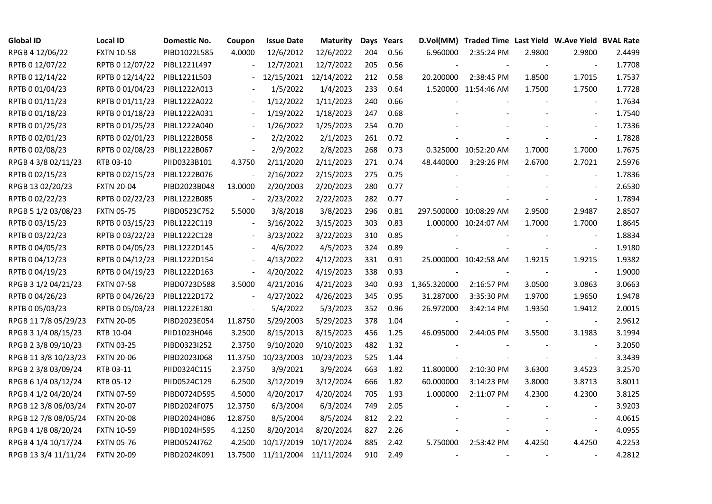| <b>Global ID</b>     | Local ID          | Domestic No. | Coupon                   | <b>Issue Date</b> | <b>Maturity</b> |     | Days Years |              | D.Vol(MM) Traded Time Last Yield W.Ave Yield BVAL Rate |        |                          |        |
|----------------------|-------------------|--------------|--------------------------|-------------------|-----------------|-----|------------|--------------|--------------------------------------------------------|--------|--------------------------|--------|
| RPGB 4 12/06/22      | <b>FXTN 10-58</b> | PIBD1022L585 | 4.0000                   | 12/6/2012         | 12/6/2022       | 204 | 0.56       | 6.960000     | 2:35:24 PM                                             | 2.9800 | 2.9800                   | 2.4499 |
| RPTB 0 12/07/22      | RPTB 0 12/07/22   | PIBL1221L497 |                          | 12/7/2021         | 12/7/2022       | 205 | 0.56       |              |                                                        |        |                          | 1.7708 |
| RPTB 0 12/14/22      | RPTB 0 12/14/22   | PIBL1221L503 |                          | 12/15/2021        | 12/14/2022      | 212 | 0.58       | 20.200000    | 2:38:45 PM                                             | 1.8500 | 1.7015                   | 1.7537 |
| RPTB 0 01/04/23      | RPTB 0 01/04/23   | PIBL1222A013 |                          | 1/5/2022          | 1/4/2023        | 233 | 0.64       |              | 1.520000 11:54:46 AM                                   | 1.7500 | 1.7500                   | 1.7728 |
| RPTB 0 01/11/23      | RPTB 0 01/11/23   | PIBL1222A022 |                          | 1/12/2022         | 1/11/2023       | 240 | 0.66       |              |                                                        |        |                          | 1.7634 |
| RPTB 0 01/18/23      | RPTB 0 01/18/23   | PIBL1222A031 |                          | 1/19/2022         | 1/18/2023       | 247 | 0.68       |              |                                                        |        | $\overline{\phantom{a}}$ | 1.7540 |
| RPTB 0 01/25/23      | RPTB 0 01/25/23   | PIBL1222A040 |                          | 1/26/2022         | 1/25/2023       | 254 | 0.70       |              |                                                        |        | $\overline{\phantom{a}}$ | 1.7336 |
| RPTB 0 02/01/23      | RPTB 0 02/01/23   | PIBL1222B058 |                          | 2/2/2022          | 2/1/2023        | 261 | 0.72       |              |                                                        |        | $\blacksquare$           | 1.7828 |
| RPTB 0 02/08/23      | RPTB 0 02/08/23   | PIBL1222B067 |                          | 2/9/2022          | 2/8/2023        | 268 | 0.73       |              | 0.325000 10:52:20 AM                                   | 1.7000 | 1.7000                   | 1.7675 |
| RPGB 4 3/8 02/11/23  | RTB 03-10         | PIID0323B101 | 4.3750                   | 2/11/2020         | 2/11/2023       | 271 | 0.74       | 48.440000    | 3:29:26 PM                                             | 2.6700 | 2.7021                   | 2.5976 |
| RPTB 0 02/15/23      | RPTB 0 02/15/23   | PIBL1222B076 |                          | 2/16/2022         | 2/15/2023       | 275 | 0.75       |              |                                                        |        | $\overline{\phantom{a}}$ | 1.7836 |
| RPGB 13 02/20/23     | <b>FXTN 20-04</b> | PIBD2023B048 | 13.0000                  | 2/20/2003         | 2/20/2023       | 280 | 0.77       |              |                                                        |        |                          | 2.6530 |
| RPTB 0 02/22/23      | RPTB 0 02/22/23   | PIBL1222B085 |                          | 2/23/2022         | 2/22/2023       | 282 | 0.77       |              |                                                        |        | $\blacksquare$           | 1.7894 |
| RPGB 5 1/2 03/08/23  | <b>FXTN 05-75</b> | PIBD0523C752 | 5.5000                   | 3/8/2018          | 3/8/2023        | 296 | 0.81       |              | 297.500000 10:08:29 AM                                 | 2.9500 | 2.9487                   | 2.8507 |
| RPTB 0 03/15/23      | RPTB 0 03/15/23   | PIBL1222C119 |                          | 3/16/2022         | 3/15/2023       | 303 | 0.83       |              | 1.000000 10:24:07 AM                                   | 1.7000 | 1.7000                   | 1.8645 |
| RPTB 0 03/22/23      | RPTB 0 03/22/23   | PIBL1222C128 |                          | 3/23/2022         | 3/22/2023       | 310 | 0.85       |              |                                                        |        |                          | 1.8834 |
| RPTB 0 04/05/23      | RPTB 0 04/05/23   | PIBL1222D145 |                          | 4/6/2022          | 4/5/2023        | 324 | 0.89       |              |                                                        |        | $\overline{\phantom{a}}$ | 1.9180 |
| RPTB 0 04/12/23      | RPTB 0 04/12/23   | PIBL1222D154 | $\blacksquare$           | 4/13/2022         | 4/12/2023       | 331 | 0.91       |              | 25.000000 10:42:58 AM                                  | 1.9215 | 1.9215                   | 1.9382 |
| RPTB 0 04/19/23      | RPTB 0 04/19/23   | PIBL1222D163 | $\blacksquare$           | 4/20/2022         | 4/19/2023       | 338 | 0.93       |              |                                                        |        | $\blacksquare$           | 1.9000 |
| RPGB 3 1/2 04/21/23  | <b>FXTN 07-58</b> | PIBD0723D588 | 3.5000                   | 4/21/2016         | 4/21/2023       | 340 | 0.93       | 1,365.320000 | 2:16:57 PM                                             | 3.0500 | 3.0863                   | 3.0663 |
| RPTB 0 04/26/23      | RPTB 0 04/26/23   | PIBL1222D172 | $\blacksquare$           | 4/27/2022         | 4/26/2023       | 345 | 0.95       | 31.287000    | 3:35:30 PM                                             | 1.9700 | 1.9650                   | 1.9478 |
| RPTB 0 05/03/23      | RPTB 0 05/03/23   | PIBL1222E180 | $\overline{\phantom{a}}$ | 5/4/2022          | 5/3/2023        | 352 | 0.96       | 26.972000    | 3:42:14 PM                                             | 1.9350 | 1.9412                   | 2.0015 |
| RPGB 11 7/8 05/29/23 | <b>FXTN 20-05</b> | PIBD2023E054 | 11.8750                  | 5/29/2003         | 5/29/2023       | 378 | 1.04       |              |                                                        |        |                          | 2.9612 |
| RPGB 3 1/4 08/15/23  | RTB 10-04         | PIID1023H046 | 3.2500                   | 8/15/2013         | 8/15/2023       | 456 | 1.25       | 46.095000    | 2:44:05 PM                                             | 3.5500 | 3.1983                   | 3.1994 |
| RPGB 2 3/8 09/10/23  | <b>FXTN 03-25</b> | PIBD0323I252 | 2.3750                   | 9/10/2020         | 9/10/2023       | 482 | 1.32       |              |                                                        |        | $\overline{\phantom{a}}$ | 3.2050 |
| RPGB 11 3/8 10/23/23 | <b>FXTN 20-06</b> | PIBD2023J068 | 11.3750                  | 10/23/2003        | 10/23/2023      | 525 | 1.44       |              |                                                        |        | $\overline{\phantom{a}}$ | 3.3439 |
| RPGB 2 3/8 03/09/24  | RTB 03-11         | PIID0324C115 | 2.3750                   | 3/9/2021          | 3/9/2024        | 663 | 1.82       | 11.800000    | 2:10:30 PM                                             | 3.6300 | 3.4523                   | 3.2570 |
| RPGB 6 1/4 03/12/24  | RTB 05-12         | PIID0524C129 | 6.2500                   | 3/12/2019         | 3/12/2024       | 666 | 1.82       | 60.000000    | 3:14:23 PM                                             | 3.8000 | 3.8713                   | 3.8011 |
| RPGB 4 1/2 04/20/24  | <b>FXTN 07-59</b> | PIBD0724D595 | 4.5000                   | 4/20/2017         | 4/20/2024       | 705 | 1.93       | 1.000000     | 2:11:07 PM                                             | 4.2300 | 4.2300                   | 3.8125 |
| RPGB 12 3/8 06/03/24 | <b>FXTN 20-07</b> | PIBD2024F075 | 12.3750                  | 6/3/2004          | 6/3/2024        | 749 | 2.05       |              |                                                        |        |                          | 3.9203 |
| RPGB 12 7/8 08/05/24 | <b>FXTN 20-08</b> | PIBD2024H086 | 12.8750                  | 8/5/2004          | 8/5/2024        | 812 | 2.22       |              |                                                        |        | $\blacksquare$           | 4.0615 |
| RPGB 4 1/8 08/20/24  | <b>FXTN 10-59</b> | PIBD1024H595 | 4.1250                   | 8/20/2014         | 8/20/2024       | 827 | 2.26       |              |                                                        |        | $\overline{\phantom{a}}$ | 4.0955 |
| RPGB 4 1/4 10/17/24  | <b>FXTN 05-76</b> | PIBD0524J762 | 4.2500                   | 10/17/2019        | 10/17/2024      | 885 | 2.42       | 5.750000     | 2:53:42 PM                                             | 4.4250 | 4.4250                   | 4.2253 |
| RPGB 13 3/4 11/11/24 | <b>FXTN 20-09</b> | PIBD2024K091 | 13.7500                  | 11/11/2004        | 11/11/2024      | 910 | 2.49       |              |                                                        |        |                          | 4.2812 |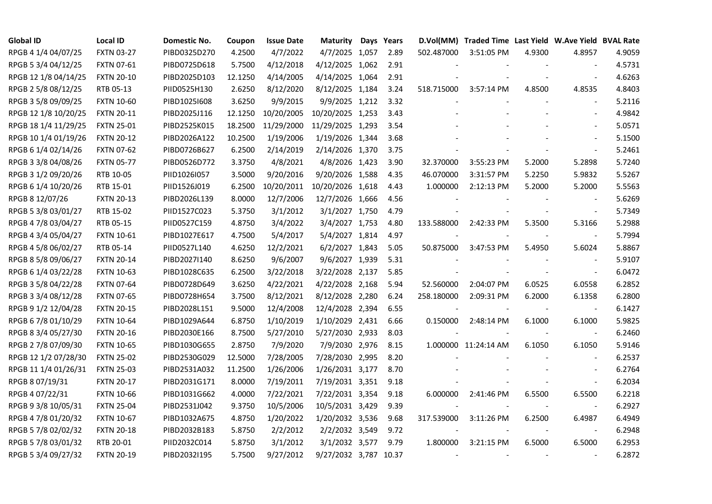| <b>Global ID</b>     | <b>Local ID</b>   | Domestic No. | Coupon  | <b>Issue Date</b> | Maturity         | Days Years | D.Vol(MM)  | Traded Time Last Yield W.Ave Yield BVAL Rate |        |                          |        |
|----------------------|-------------------|--------------|---------|-------------------|------------------|------------|------------|----------------------------------------------|--------|--------------------------|--------|
| RPGB 4 1/4 04/07/25  | <b>FXTN 03-27</b> | PIBD0325D270 | 4.2500  | 4/7/2022          | 4/7/2025 1,057   | 2.89       | 502.487000 | 3:51:05 PM                                   | 4.9300 | 4.8957                   | 4.9059 |
| RPGB 5 3/4 04/12/25  | <b>FXTN 07-61</b> | PIBD0725D618 | 5.7500  | 4/12/2018         | 4/12/2025 1,062  | 2.91       |            |                                              |        |                          | 4.5731 |
| RPGB 12 1/8 04/14/25 | <b>FXTN 20-10</b> | PIBD2025D103 | 12.1250 | 4/14/2005         | 4/14/2025 1,064  | 2.91       |            |                                              |        | $\sim$                   | 4.6263 |
| RPGB 2 5/8 08/12/25  | RTB 05-13         | PIID0525H130 | 2.6250  | 8/12/2020         | 8/12/2025 1,184  | 3.24       | 518.715000 | 3:57:14 PM                                   | 4.8500 | 4.8535                   | 4.8403 |
| RPGB 3 5/8 09/09/25  | <b>FXTN 10-60</b> | PIBD10251608 | 3.6250  | 9/9/2015          | 9/9/2025 1,212   | 3.32       |            |                                              |        | $\overline{\phantom{a}}$ | 5.2116 |
| RPGB 12 1/8 10/20/25 | <b>FXTN 20-11</b> | PIBD2025J116 | 12.1250 | 10/20/2005        | 10/20/2025 1,253 | 3.43       |            |                                              |        |                          | 4.9842 |
| RPGB 18 1/4 11/29/25 | <b>FXTN 25-01</b> | PIBD2525K015 | 18.2500 | 11/29/2000        | 11/29/2025 1,293 | 3.54       |            |                                              |        | $\blacksquare$           | 5.0571 |
| RPGB 10 1/4 01/19/26 | <b>FXTN 20-12</b> | PIBD2026A122 | 10.2500 | 1/19/2006         | 1/19/2026 1,344  | 3.68       |            |                                              |        | $\blacksquare$           | 5.1500 |
| RPGB 6 1/4 02/14/26  | <b>FXTN 07-62</b> | PIBD0726B627 | 6.2500  | 2/14/2019         | 2/14/2026 1,370  | 3.75       |            |                                              |        |                          | 5.2461 |
| RPGB 3 3/8 04/08/26  | <b>FXTN 05-77</b> | PIBD0526D772 | 3.3750  | 4/8/2021          | 4/8/2026 1,423   | 3.90       | 32.370000  | 3:55:23 PM                                   | 5.2000 | 5.2898                   | 5.7240 |
| RPGB 3 1/2 09/20/26  | RTB 10-05         | PIID1026I057 | 3.5000  | 9/20/2016         | 9/20/2026 1,588  | 4.35       | 46.070000  | 3:31:57 PM                                   | 5.2250 | 5.9832                   | 5.5267 |
| RPGB 6 1/4 10/20/26  | RTB 15-01         | PIID1526J019 | 6.2500  | 10/20/2011        | 10/20/2026 1,618 | 4.43       | 1.000000   | 2:12:13 PM                                   | 5.2000 | 5.2000                   | 5.5563 |
| RPGB 8 12/07/26      | <b>FXTN 20-13</b> | PIBD2026L139 | 8.0000  | 12/7/2006         | 12/7/2026 1,666  | 4.56       |            |                                              |        | $\overline{a}$           | 5.6269 |
| RPGB 5 3/8 03/01/27  | RTB 15-02         | PIID1527C023 | 5.3750  | 3/1/2012          | 3/1/2027 1,750   | 4.79       |            |                                              |        | $\blacksquare$           | 5.7349 |
| RPGB 4 7/8 03/04/27  | RTB 05-15         | PIID0527C159 | 4.8750  | 3/4/2022          | 3/4/2027 1,753   | 4.80       | 133.588000 | 2:42:33 PM                                   | 5.3500 | 5.3166                   | 5.2988 |
| RPGB 4 3/4 05/04/27  | <b>FXTN 10-61</b> | PIBD1027E617 | 4.7500  | 5/4/2017          | 5/4/2027 1,814   | 4.97       |            |                                              |        |                          | 5.7994 |
| RPGB 4 5/8 06/02/27  | RTB 05-14         | PIID0527L140 | 4.6250  | 12/2/2021         | 6/2/2027 1,843   | 5.05       | 50.875000  | 3:47:53 PM                                   | 5.4950 | 5.6024                   | 5.8867 |
| RPGB 8 5/8 09/06/27  | <b>FXTN 20-14</b> | PIBD2027I140 | 8.6250  | 9/6/2007          | 9/6/2027 1,939   | 5.31       |            |                                              |        | $\blacksquare$           | 5.9107 |
| RPGB 6 1/4 03/22/28  | <b>FXTN 10-63</b> | PIBD1028C635 | 6.2500  | 3/22/2018         | 3/22/2028 2,137  | 5.85       |            |                                              |        | $\blacksquare$           | 6.0472 |
| RPGB 3 5/8 04/22/28  | <b>FXTN 07-64</b> | PIBD0728D649 | 3.6250  | 4/22/2021         | 4/22/2028 2,168  | 5.94       | 52.560000  | 2:04:07 PM                                   | 6.0525 | 6.0558                   | 6.2852 |
| RPGB 3 3/4 08/12/28  | <b>FXTN 07-65</b> | PIBD0728H654 | 3.7500  | 8/12/2021         | 8/12/2028 2,280  | 6.24       | 258.180000 | 2:09:31 PM                                   | 6.2000 | 6.1358                   | 6.2800 |
| RPGB 9 1/2 12/04/28  | <b>FXTN 20-15</b> | PIBD2028L151 | 9.5000  | 12/4/2008         | 12/4/2028 2,394  | 6.55       |            |                                              |        | $\blacksquare$           | 6.1427 |
| RPGB 67/8 01/10/29   | <b>FXTN 10-64</b> | PIBD1029A644 | 6.8750  | 1/10/2019         | 1/10/2029 2,431  | 6.66       | 0.150000   | 2:48:14 PM                                   | 6.1000 | 6.1000                   | 5.9825 |
| RPGB 8 3/4 05/27/30  | <b>FXTN 20-16</b> | PIBD2030E166 | 8.7500  | 5/27/2010         | 5/27/2030 2,933  | 8.03       |            |                                              |        | $\overline{\phantom{a}}$ | 6.2460 |
| RPGB 2 7/8 07/09/30  | <b>FXTN 10-65</b> | PIBD1030G655 | 2.8750  | 7/9/2020          | 7/9/2030 2,976   | 8.15       |            | 1.000000 11:24:14 AM                         | 6.1050 | 6.1050                   | 5.9146 |
| RPGB 12 1/2 07/28/30 | <b>FXTN 25-02</b> | PIBD2530G029 | 12.5000 | 7/28/2005         | 7/28/2030 2,995  | 8.20       |            |                                              |        | $\blacksquare$           | 6.2537 |
| RPGB 11 1/4 01/26/31 | <b>FXTN 25-03</b> | PIBD2531A032 | 11.2500 | 1/26/2006         | 1/26/2031 3,177  | 8.70       |            |                                              |        | $\blacksquare$           | 6.2764 |
| RPGB 8 07/19/31      | <b>FXTN 20-17</b> | PIBD2031G171 | 8.0000  | 7/19/2011         | 7/19/2031 3,351  | 9.18       |            |                                              |        | $\blacksquare$           | 6.2034 |
| RPGB 4 07/22/31      | <b>FXTN 10-66</b> | PIBD1031G662 | 4.0000  | 7/22/2021         | 7/22/2031 3,354  | 9.18       | 6.000000   | 2:41:46 PM                                   | 6.5500 | 6.5500                   | 6.2218 |
| RPGB 9 3/8 10/05/31  | <b>FXTN 25-04</b> | PIBD2531J042 | 9.3750  | 10/5/2006         | 10/5/2031 3,429  | 9.39       |            |                                              |        |                          | 6.2927 |
| RPGB 4 7/8 01/20/32  | <b>FXTN 10-67</b> | PIBD1032A675 | 4.8750  | 1/20/2022         | 1/20/2032 3,536  | 9.68       | 317.539000 | 3:11:26 PM                                   | 6.2500 | 6.4987                   | 6.4949 |
| RPGB 5 7/8 02/02/32  | <b>FXTN 20-18</b> | PIBD2032B183 | 5.8750  | 2/2/2012          | 2/2/2032 3,549   | 9.72       |            |                                              |        | $\blacksquare$           | 6.2948 |
| RPGB 5 7/8 03/01/32  | RTB 20-01         | PIID2032C014 | 5.8750  | 3/1/2012          | 3/1/2032 3,577   | 9.79       | 1.800000   | 3:21:15 PM                                   | 6.5000 | 6.5000                   | 6.2953 |
| RPGB 5 3/4 09/27/32  | <b>FXTN 20-19</b> | PIBD2032I195 | 5.7500  | 9/27/2012         | 9/27/2032 3,787  | 10.37      |            |                                              |        | $\sim$                   | 6.2872 |